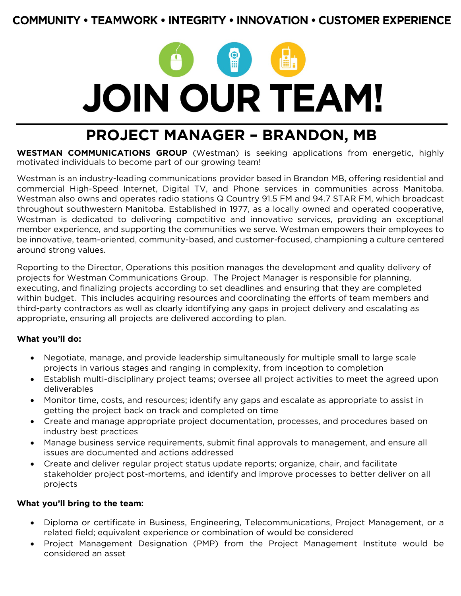## **COMMUNITY • TEAMWORK • INTEGRITY • INNOVATION • CUSTOMER EXPERIENCE**



# **PROJECT MANAGER – BRANDON, MB**

**WESTMAN COMMUNICATIONS GROUP** (Westman) is seeking applications from energetic, highly motivated individuals to become part of our growing team!

Westman is an industry-leading communications provider based in Brandon MB, offering residential and commercial High-Speed Internet, Digital TV, and Phone services in communities across Manitoba. Westman also owns and operates radio stations Q Country 91.5 FM and 94.7 STAR FM, which broadcast throughout southwestern Manitoba. Established in 1977, as a locally owned and operated cooperative, Westman is dedicated to delivering competitive and innovative services, providing an exceptional member experience, and supporting the communities we serve. Westman empowers their employees to be innovative, team-oriented, community-based, and customer-focused, championing a culture centered around strong values.

Reporting to the Director, Operations this position manages the development and quality delivery of projects for Westman Communications Group. The Project Manager is responsible for planning, executing, and finalizing projects according to set deadlines and ensuring that they are completed within budget. This includes acquiring resources and coordinating the efforts of team members and third-party contractors as well as clearly identifying any gaps in project delivery and escalating as appropriate, ensuring all projects are delivered according to plan.

#### **What you'll do:**

- Negotiate, manage, and provide leadership simultaneously for multiple small to large scale projects in various stages and ranging in complexity, from inception to completion
- Establish multi-disciplinary project teams; oversee all project activities to meet the agreed upon deliverables
- Monitor time, costs, and resources; identify any gaps and escalate as appropriate to assist in getting the project back on track and completed on time
- Create and manage appropriate project documentation, processes, and procedures based on industry best practices
- Manage business service requirements, submit final approvals to management, and ensure all issues are documented and actions addressed
- Create and deliver regular project status update reports; organize, chair, and facilitate stakeholder project post-mortems, and identify and improve processes to better deliver on all projects

#### **What you'll bring to the team:**

- Diploma or certificate in Business, Engineering, Telecommunications, Project Management, or a related field; equivalent experience or combination of would be considered
- Project Management Designation (PMP) from the Project Management Institute would be considered an asset